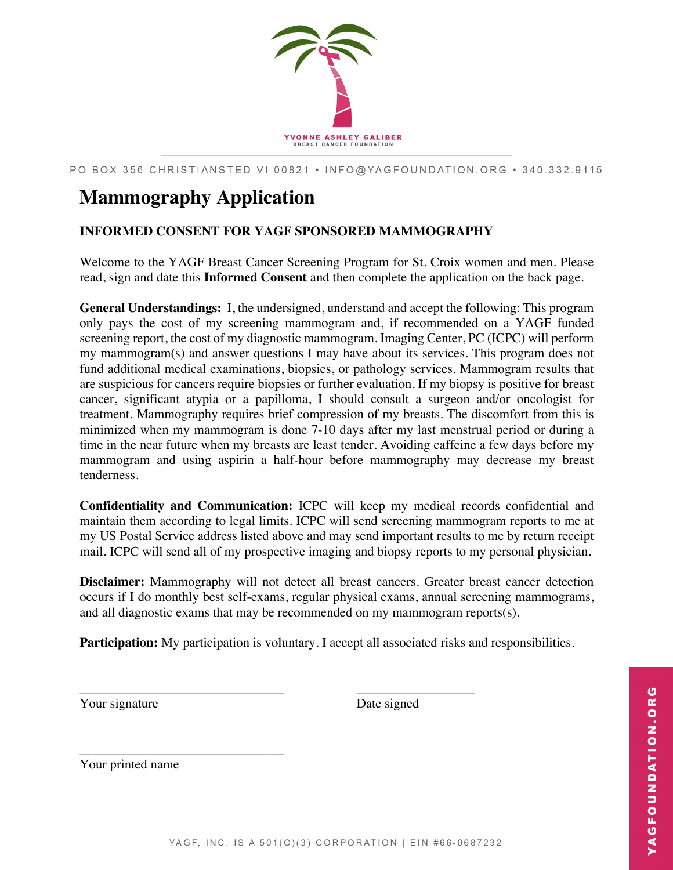

PO BOX 356 CHRISTIANSTED VI 00821 · INFO@YAGFOUNDATION.ORG · 340.332.9115

## **Mammography Application**

## **INFORMED CONSENT FOR YAGF SPONSORED MAMMOGRAPHY**

Welcome to the YAGF Breast Cancer Screening Program for St. Croix women and men. Please read, sign and date this **Informed Consent** and then complete the application on the back page.

**General Understandings:** I, the undersigned, understand and accept the following: This program only pays the cost of my screening mammogram and, if recommended on a YAGF funded screening report, the cost of my diagnostic mammogram. Imaging Center, PC (ICPC) will perform my mammogram(s) and answer questions I may have about its services. This program does not fund additional medical examinations, biopsies, or pathology services. Mammogram results that are suspicious for cancers require biopsies or further evaluation. If my biopsy is positive for breast cancer, significant atypia or a papilloma, I should consult a surgeon and/or oncologist for treatment. Mammography requires brief compression of my breasts. The discomfort from this is minimized when my mammogram is done 7-10 days after my last menstrual period or during a time in the near future when my breasts are least tender. Avoiding caffeine a few days before my mammogram and using aspirin a half-hour before mammography may decrease my breast tenderness.

**Confidentiality and Communication:** ICPC will keep my medical records confidential and maintain them according to legal limits. ICPC will send screening mammogram reports to me at my US Postal Service address listed above and may send important results to me by return receipt mail. ICPC will send all of my prospective imaging and biopsy reports to my personal physician.

**Disclaimer:** Mammography will not detect all breast cancers. Greater breast cancer detection occurs if I do monthly best self-exams, regular physical exams, annual screening mammograms, and all diagnostic exams that may be recommended on my mammogram reports(s).

**Participation:** My participation is voluntary. I accept all associated risks and responsibilities.

\_\_\_\_\_\_\_\_\_\_\_\_\_\_\_\_\_\_\_\_\_\_\_\_\_\_\_\_\_\_\_ \_\_\_\_\_\_\_\_\_\_\_\_\_\_\_\_\_\_ Your signature Date signed

Your printed name

\_\_\_\_\_\_\_\_\_\_\_\_\_\_\_\_\_\_\_\_\_\_\_\_\_\_\_\_\_\_\_